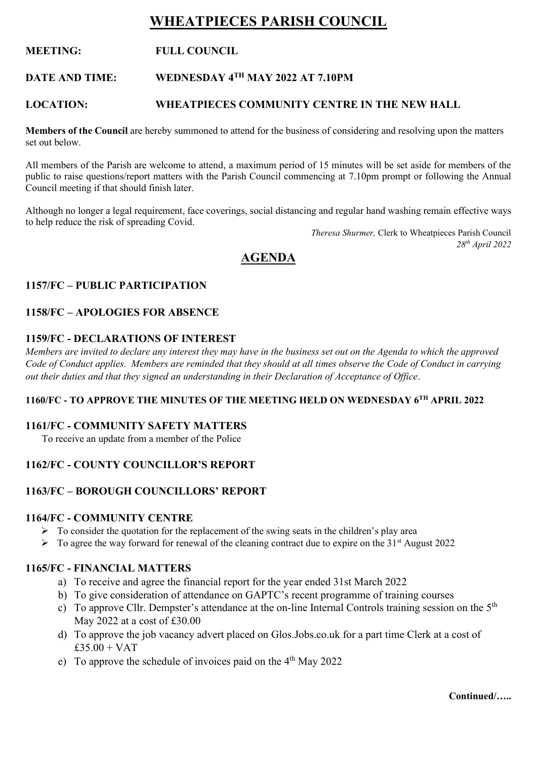# **WHEATPIECES PARISH COUNCIL**

### **MEETING: FULL COUNCIL**

#### **DATE AND TIME: WEDNESDAY 4TH MAY 2022 AT 7.10PM**

#### **LOCATION: WHEATPIECES COMMUNITY CENTRE IN THE NEW HALL**

**Members of the Council** are hereby summoned to attend for the business of considering and resolving upon the matters set out below.

All members of the Parish are welcome to attend, a maximum period of 15 minutes will be set aside for members of the public to raise questions/report matters with the Parish Council commencing at 7.10pm prompt or following the Annual Council meeting if that should finish later.

Although no longer a legal requirement, face coverings, social distancing and regular hand washing remain effective ways to help reduce the risk of spreading Covid.

> *Theresa Shurmer,* Clerk to Wheatpieces Parish Council *28th April 2022*

## **AGENDA**

### **1157/FC – PUBLIC PARTICIPATION**

#### **1158/FC – APOLOGIES FOR ABSENCE**

#### **1159/FC - DECLARATIONS OF INTEREST**

*Members are invited to declare any interest they may have in the business set out on the Agenda to which the approved Code of Conduct applies. Members are reminded that they should at all times observe the Code of Conduct in carrying out their duties and that they signed an understanding in their Declaration of Acceptance of Office*.

#### **1160/FC - TO APPROVE THE MINUTES OF THE MEETING HELD ON WEDNESDAY 6 TH APRIL 2022**

#### **1161/FC - COMMUNITY SAFETY MATTERS**

To receive an update from a member of the Police

#### **1162/FC - COUNTY COUNCILLOR'S REPORT**

#### **1163/FC – BOROUGH COUNCILLORS' REPORT**

#### **1164/FC - COMMUNITY CENTRE**

- $\triangleright$  To consider the quotation for the replacement of the swing seats in the children's play area
- $\triangleright$  To agree the way forward for renewal of the cleaning contract due to expire on the 31<sup>st</sup> August 2022

#### **1165/FC - FINANCIAL MATTERS**

- a) To receive and agree the financial report for the year ended 31st March 2022
- b) To give consideration of attendance on GAPTC's recent programme of training courses
- c) To approve Cllr. Dempster's attendance at the on-line Internal Controls training session on the  $5<sup>th</sup>$ May 2022 at a cost of £30.00
- d) To approve the job vacancy advert placed on Glos.Jobs.co.uk for a part time Clerk at a cost of  $£35.00 + VAT$
- e) To approve the schedule of invoices paid on the  $4<sup>th</sup>$  May 2022